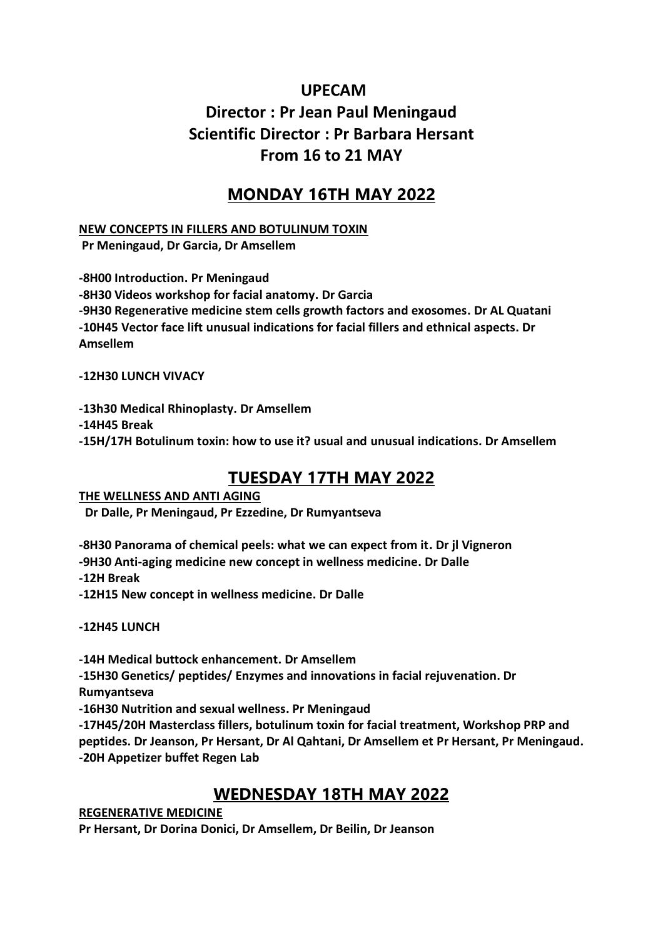# **UPECAM Director : Pr Jean Paul Meningaud Scientific Director : Pr Barbara Hersant From 16 to 21 MAY**

# **MONDAY 16TH MAY 2022**

#### **NEW CONCEPTS IN FILLERS AND BOTULINUM TOXIN**

**Pr Meningaud, Dr Garcia, Dr Amsellem**

**-8H00 Introduction. Pr Meningaud -8H30 Videos workshop for facial anatomy. Dr Garcia -9H30 Regenerative medicine stem cells growth factors and exosomes. Dr AL Quatani -10H45 Vector face lift unusual indications for facial fillers and ethnical aspects. Dr Amsellem**

**-12H30 LUNCH VIVACY**

**-13h30 Medical Rhinoplasty. Dr Amsellem**

**-14H45 Break**

**-15H/17H Botulinum toxin: how to use it? usual and unusual indications. Dr Amsellem**

# **TUESDAY 17TH MAY 2022**

**THE WELLNESS AND ANTI AGING Dr Dalle, Pr Meningaud, Pr Ezzedine, Dr Rumyantseva**

**-8H30 Panorama of chemical peels: what we can expect from it. Dr jl Vigneron -9H30 Anti-aging medicine new concept in wellness medicine. Dr Dalle -12H Break -12H15 New concept in wellness medicine. Dr Dalle**

**-12H45 LUNCH**

**-14H Medical buttock enhancement. Dr Amsellem**

**-15H30 Genetics/ peptides/ Enzymes and innovations in facial rejuvenation. Dr Rumyantseva**

**-16H30 Nutrition and sexual wellness. Pr Meningaud**

**-17H45/20H Masterclass fillers, botulinum toxin for facial treatment, Workshop PRP and peptides. Dr Jeanson, Pr Hersant, Dr Al Qahtani, Dr Amsellem et Pr Hersant, Pr Meningaud. -20H Appetizer buffet Regen Lab**

## **WEDNESDAY 18TH MAY 2022**

**REGENERATIVE MEDICINE** 

**Pr Hersant, Dr Dorina Donici, Dr Amsellem, Dr Beilin, Dr Jeanson**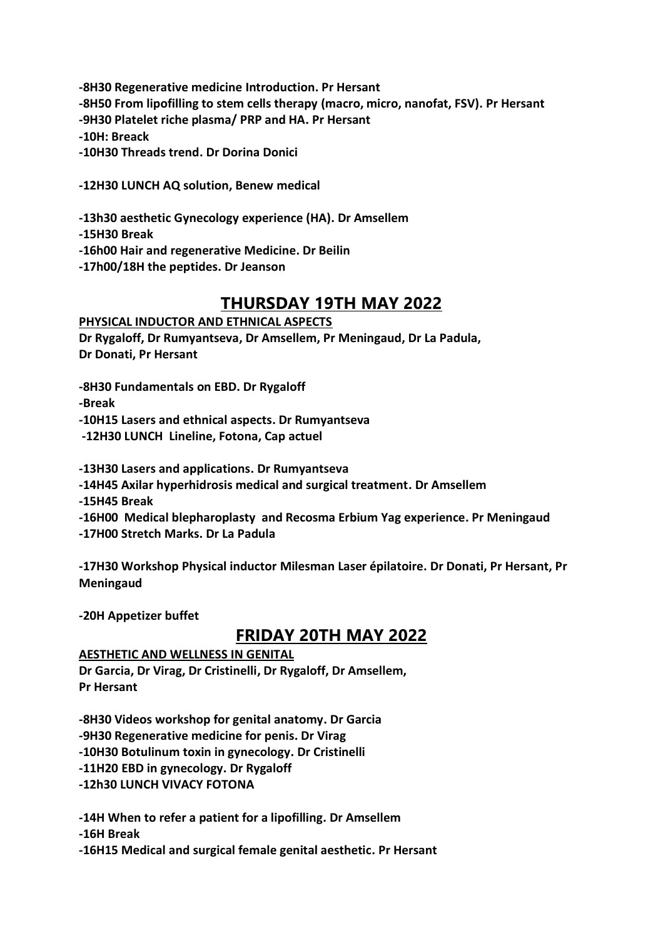**-8H30 Regenerative medicine Introduction. Pr Hersant -8H50 From lipofilling to stem cells therapy (macro, micro, nanofat, FSV). Pr Hersant -9H30 Platelet riche plasma/ PRP and HA. Pr Hersant -10H: Breack -10H30 Threads trend. Dr Dorina Donici**

**-12H30 LUNCH AQ solution, Benew medical**

**-13h30 aesthetic Gynecology experience (HA). Dr Amsellem**

**-15H30 Break**

**-16h00 Hair and regenerative Medicine. Dr Beilin**

**-17h00/18H the peptides. Dr Jeanson**

## **THURSDAY 19TH MAY 2022**

#### **PHYSICAL INDUCTOR AND ETHNICAL ASPECTS**

**Dr Rygaloff, Dr Rumyantseva, Dr Amsellem, Pr Meningaud, Dr La Padula, Dr Donati, Pr Hersant**

**-8H30 Fundamentals on EBD. Dr Rygaloff**

**-Break**

**-10H15 Lasers and ethnical aspects. Dr Rumyantseva**

**-12H30 LUNCH Lineline, Fotona, Cap actuel** 

**-13H30 Lasers and applications. Dr Rumyantseva**

**-14H45 Axilar hyperhidrosis medical and surgical treatment. Dr Amsellem**

**-15H45 Break** 

**-16H00 Medical blepharoplasty and Recosma Erbium Yag experience. Pr Meningaud**

**-17H00 Stretch Marks. Dr La Padula**

**-17H30 Workshop Physical inductor Milesman Laser épilatoire. Dr Donati, Pr Hersant, Pr Meningaud**

**-20H Appetizer buffet**

## **FRIDAY 20TH MAY 2022**

### **AESTHETIC AND WELLNESS IN GENITAL**

**Dr Garcia, Dr Virag, Dr Cristinelli, Dr Rygaloff, Dr Amsellem, Pr Hersant**

**-8H30 Videos workshop for genital anatomy. Dr Garcia -9H30 Regenerative medicine for penis. Dr Virag -10H30 Botulinum toxin in gynecology. Dr Cristinelli -11H20 EBD in gynecology. Dr Rygaloff**

**-12h30 LUNCH VIVACY FOTONA** 

**-14H When to refer a patient for a lipofilling. Dr Amsellem**

**-16H Break** 

**-16H15 Medical and surgical female genital aesthetic. Pr Hersant**